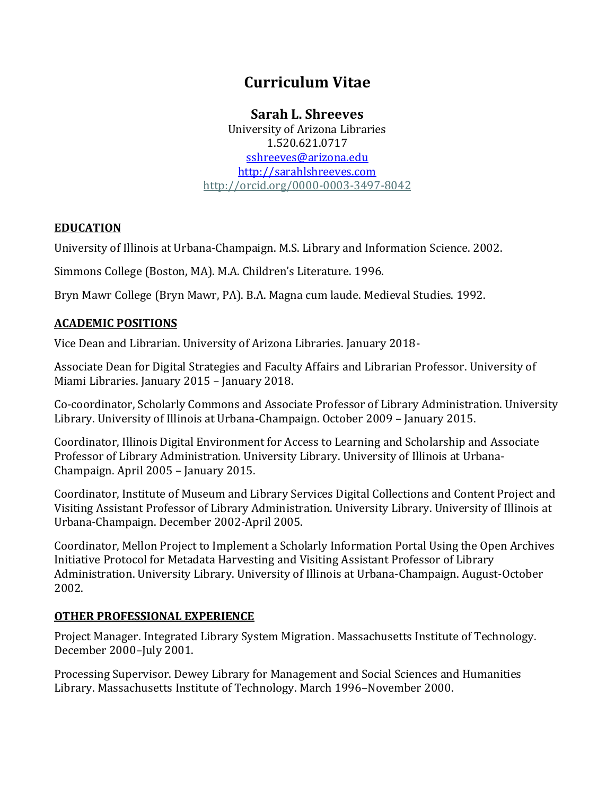# **Curriculum Vitae**

# **Sarah L. Shreeves**

University of Arizona Libraries 1.520.621.0717 [sshreeves@arizona.edu](mailto:sshreeves@arizona.edu) [http://sarahlshreeves.com](http://sarahlshreeves.com/) <http://orcid.org/0000-0003-3497-8042>

### **EDUCATION**

University of Illinois at Urbana-Champaign. M.S. Library and Information Science. 2002.

Simmons College (Boston, MA). M.A. Children's Literature. 1996.

Bryn Mawr College (Bryn Mawr, PA). B.A. Magna cum laude. Medieval Studies. 1992.

### **ACADEMIC POSITIONS**

Vice Dean and Librarian. University of Arizona Libraries. January 2018-

Associate Dean for Digital Strategies and Faculty Affairs and Librarian Professor. University of Miami Libraries. January 2015 – January 2018.

Co-coordinator, Scholarly Commons and Associate Professor of Library Administration. University Library. University of Illinois at Urbana-Champaign. October 2009 – January 2015.

Coordinator, Illinois Digital Environment for Access to Learning and Scholarship and Associate Professor of Library Administration. University Library. University of Illinois at Urbana-Champaign. April 2005 – January 2015.

Coordinator, Institute of Museum and Library Services Digital Collections and Content Project and Visiting Assistant Professor of Library Administration. University Library. University of Illinois at Urbana-Champaign. December 2002-April 2005.

Coordinator, Mellon Project to Implement a Scholarly Information Portal Using the Open Archives Initiative Protocol for Metadata Harvesting and Visiting Assistant Professor of Library Administration. University Library. University of Illinois at Urbana-Champaign. August-October 2002.

### **OTHER PROFESSIONAL EXPERIENCE**

Project Manager. Integrated Library System Migration. Massachusetts Institute of Technology. December 2000–July 2001.

Processing Supervisor. Dewey Library for Management and Social Sciences and Humanities Library. Massachusetts Institute of Technology. March 1996–November 2000.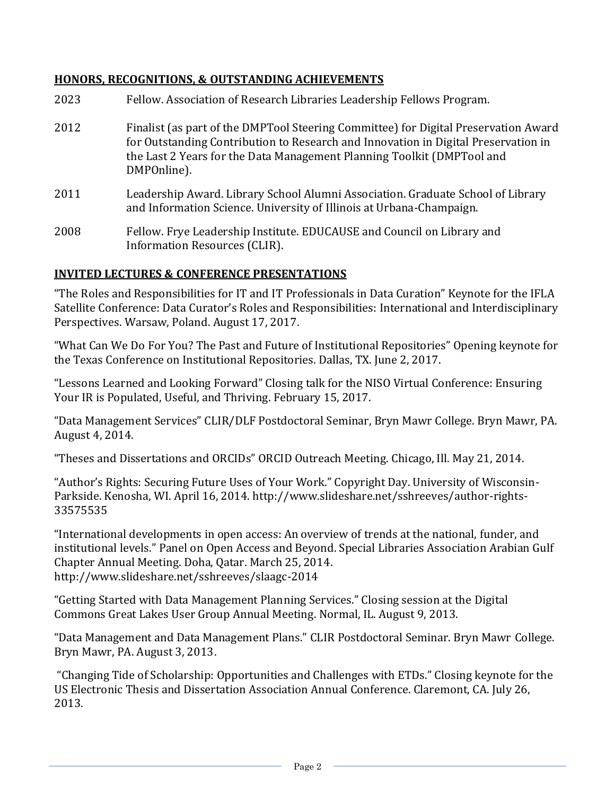#### **HONORS, RECOGNITIONS, & OUTSTANDING ACHIEVEMENTS**

- 2023 Fellow. Association of Research Libraries Leadership Fellows Program.
- 2012 Finalist (as part of the DMPTool Steering Committee) for Digital Preservation Award for Outstanding Contribution to Research and Innovation in Digital Preservation in the Last 2 Years for the Data Management Planning Toolkit (DMPTool and DMPOnline).
- 2011 Leadership Award. Library School Alumni Association. Graduate School of Library and Information Science. University of Illinois at Urbana-Champaign.
- 2008 Fellow. Frye Leadership Institute. EDUCAUSE and Council on Library and Information Resources (CLIR).

#### **INVITED LECTURES & CONFERENCE PRESENTATIONS**

"The Roles and Responsibilities for IT and IT Professionals in Data Curation" Keynote for the IFLA Satellite Conference: Data Curator's Roles and Responsibilities: International and Interdisciplinary Perspectives. Warsaw, Poland. August 17, 2017.

"What Can We Do For You? The Past and Future of Institutional Repositories" Opening keynote for the Texas Conference on Institutional Repositories. Dallas, TX. June 2, 2017.

"Lessons Learned and Looking Forward" Closing talk for the NISO Virtual Conference: Ensuring Your IR is Populated, Useful, and Thriving. February 15, 2017.

"Data Management Services" CLIR/DLF Postdoctoral Seminar, Bryn Mawr College. Bryn Mawr, PA. August 4, 2014.

"Theses and Dissertations and ORCIDs" ORCID Outreach Meeting. Chicago, Ill. May 21, 2014.

"Author's Rights: Securing Future Uses of Your Work." Copyright Day. University of Wisconsin-Parkside. Kenosha, WI. April 16, 2014. http://www.slideshare.net/sshreeves/author-rights-33575535

"International developments in open access: An overview of trends at the national, funder, and institutional levels." Panel on Open Access and Beyond. Special Libraries Association Arabian Gulf Chapter Annual Meeting. Doha, Qatar. March 25, 2014. http://www.slideshare.net/sshreeves/slaagc-2014

"Getting Started with Data Management Planning Services." Closing session at the Digital Commons Great Lakes User Group Annual Meeting. Normal, IL. August 9, 2013.

"Data Management and Data Management Plans." CLIR Postdoctoral Seminar. Bryn Mawr College. Bryn Mawr, PA. August 3, 2013.

"Changing Tide of Scholarship: Opportunities and Challenges with ETDs." Closing keynote for the US Electronic Thesis and Dissertation Association Annual Conference. Claremont, CA. July 26, 2013.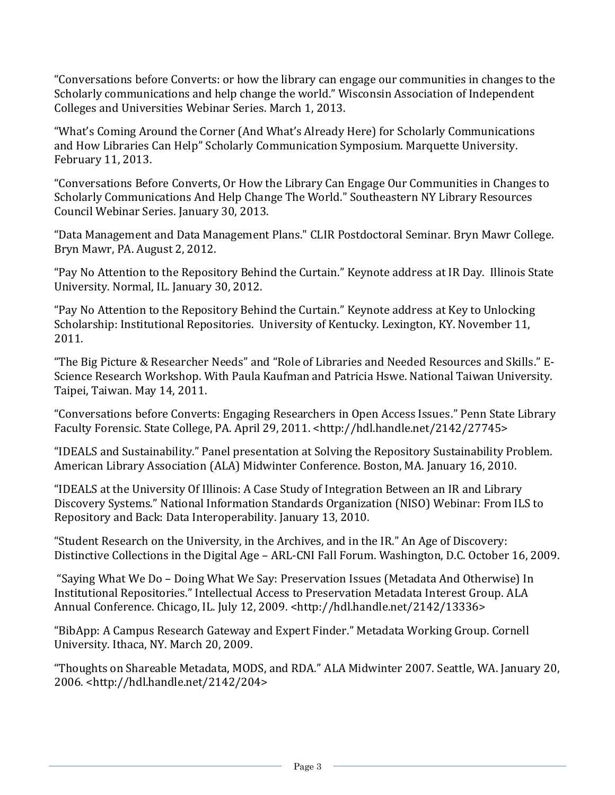"Conversations before Converts: or how the library can engage our communities in changes to the Scholarly communications and help change the world." Wisconsin Association of Independent Colleges and Universities Webinar Series. March 1, 2013.

"What's Coming Around the Corner (And What's Already Here) for Scholarly Communications and How Libraries Can Help" Scholarly Communication Symposium. Marquette University. February 11, 2013.

"Conversations Before Converts, Or How the Library Can Engage Our Communities in Changes to Scholarly Communications And Help Change The World." Southeastern NY Library Resources Council Webinar Series. January 30, 2013.

"Data Management and Data Management Plans." CLIR Postdoctoral Seminar. Bryn Mawr College. Bryn Mawr, PA. August 2, 2012.

"Pay No Attention to the Repository Behind the Curtain." Keynote address at IR Day. Illinois State University. Normal, IL. January 30, 2012.

"Pay No Attention to the Repository Behind the Curtain." Keynote address at Key to Unlocking Scholarship: Institutional Repositories. University of Kentucky. Lexington, KY. November 11, 2011.

"The Big Picture & Researcher Needs" and "Role of Libraries and Needed Resources and Skills." E-Science Research Workshop. With Paula Kaufman and Patricia Hswe. National Taiwan University. Taipei, Taiwan. May 14, 2011.

"Conversations before Converts: Engaging Researchers in Open Access Issues." Penn State Library Faculty Forensic. State College, PA. April 29, 2011. <http://hdl.handle.net/2142/27745>

"IDEALS and Sustainability." Panel presentation at Solving the Repository Sustainability Problem. American Library Association (ALA) Midwinter Conference. Boston, MA. January 16, 2010.

"IDEALS at the University Of Illinois: A Case Study of Integration Between an IR and Library Discovery Systems." National Information Standards Organization (NISO) Webinar: From ILS to Repository and Back: Data Interoperability. January 13, 2010.

"Student Research on the University, in the Archives, and in the IR." An Age of Discovery: Distinctive Collections in the Digital Age – ARL-CNI Fall Forum. Washington, D.C. October 16, 2009.

"Saying What We Do – Doing What We Say: Preservation Issues (Metadata And Otherwise) In Institutional Repositories." Intellectual Access to Preservation Metadata Interest Group. ALA Annual Conference. Chicago, IL. July 12, 2009. <http://hdl.handle.net/2142/13336>

"BibApp: A Campus Research Gateway and Expert Finder." Metadata Working Group. Cornell University. Ithaca, NY. March 20, 2009.

"Thoughts on Shareable Metadata, MODS, and RDA." ALA Midwinter 2007. Seattle, WA. January 20, 2006. <http://hdl.handle.net/2142/204>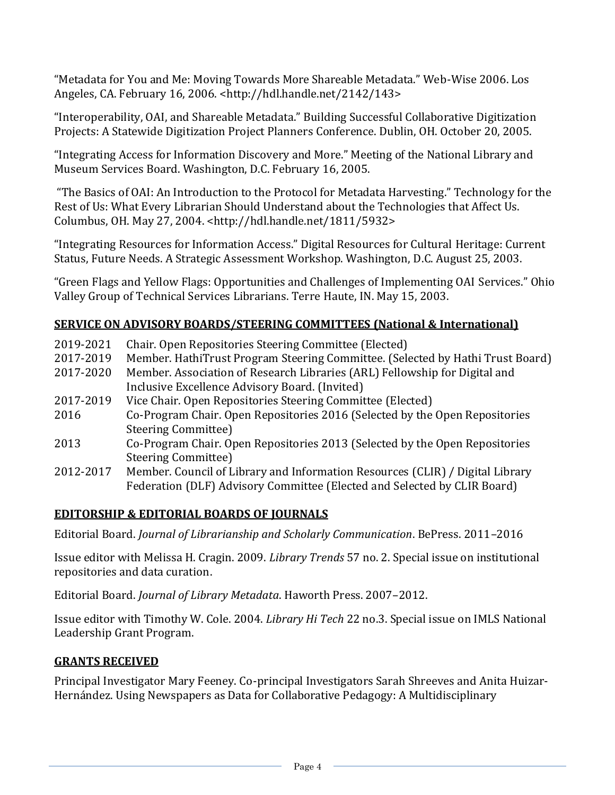"Metadata for You and Me: Moving Towards More Shareable Metadata." Web-Wise 2006. Los Angeles, CA. February 16, 2006. <http://hdl.handle.net/2142/143>

"Interoperability, OAI, and Shareable Metadata." Building Successful Collaborative Digitization Projects: A Statewide Digitization Project Planners Conference. Dublin, OH. October 20, 2005.

"Integrating Access for Information Discovery and More." Meeting of the National Library and Museum Services Board. Washington, D.C. February 16, 2005.

"The Basics of OAI: An Introduction to the Protocol for Metadata Harvesting." Technology for the Rest of Us: What Every Librarian Should Understand about the Technologies that Affect Us. Columbus, OH. May 27, 2004. <http://hdl.handle.net/1811/5932>

"Integrating Resources for Information Access." Digital Resources for Cultural Heritage: Current Status, Future Needs. A Strategic Assessment Workshop. Washington, D.C. August 25, 2003.

"Green Flags and Yellow Flags: Opportunities and Challenges of Implementing OAI Services." Ohio Valley Group of Technical Services Librarians. Terre Haute, IN. May 15, 2003.

### **SERVICE ON ADVISORY BOARDS/STEERING COMMITTEES (National & International)**

| 2019-2021 | Chair. Open Repositories Steering Committee (Elected)                          |
|-----------|--------------------------------------------------------------------------------|
| 2017-2019 | Member. HathiTrust Program Steering Committee. (Selected by Hathi Trust Board) |
| 2017-2020 | Member. Association of Research Libraries (ARL) Fellowship for Digital and     |
|           | Inclusive Excellence Advisory Board. (Invited)                                 |
| 2017-2019 | Vice Chair. Open Repositories Steering Committee (Elected)                     |
| 2016      | Co-Program Chair. Open Repositories 2016 (Selected by the Open Repositories    |
|           | <b>Steering Committee)</b>                                                     |
| 2013      | Co-Program Chair. Open Repositories 2013 (Selected by the Open Repositories    |
|           | <b>Steering Committee)</b>                                                     |
| 2012-2017 | Member. Council of Library and Information Resources (CLIR) / Digital Library  |
|           | Federation (DLF) Advisory Committee (Elected and Selected by CLIR Board)       |

### **EDITORSHIP & EDITORIAL BOARDS OF JOURNALS**

Editorial Board. *Journal of Librarianship and Scholarly Communication*. BePress. 2011–2016

Issue editor with Melissa H. Cragin. 2009. *Library Trends* 57 no. 2. Special issue on institutional repositories and data curation.

Editorial Board. *Journal of Library Metadata*. Haworth Press. 2007–2012.

Issue editor with Timothy W. Cole. 2004. *Library Hi Tech* 22 no.3. Special issue on IMLS National Leadership Grant Program.

#### **GRANTS RECEIVED**

Principal Investigator Mary Feeney. Co-principal Investigators Sarah Shreeves and Anita Huizar-Hernández. Using Newspapers as Data for Collaborative Pedagogy: A Multidisciplinary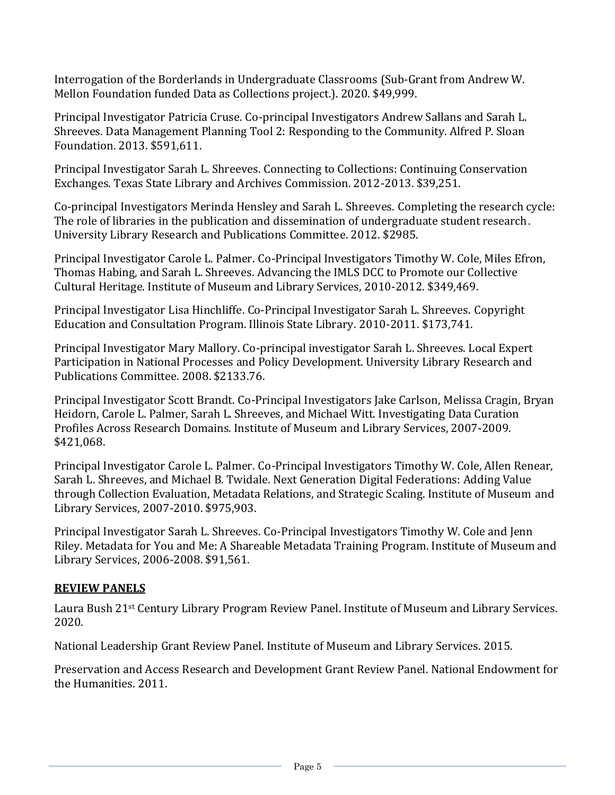Interrogation of the Borderlands in Undergraduate Classrooms (Sub-Grant from Andrew W. Mellon Foundation funded Data as Collections project.). 2020. \$49,999.

Principal Investigator Patricia Cruse. Co-principal Investigators Andrew Sallans and Sarah L. Shreeves. Data Management Planning Tool 2: Responding to the Community. Alfred P. Sloan Foundation. 2013. \$591,611.

Principal Investigator Sarah L. Shreeves. Connecting to Collections: Continuing Conservation Exchanges. Texas State Library and Archives Commission. 2012-2013. \$39,251.

Co-principal Investigators Merinda Hensley and Sarah L. Shreeves. Completing the research cycle: The role of libraries in the publication and dissemination of undergraduate student research. University Library Research and Publications Committee. 2012. \$2985.

Principal Investigator Carole L. Palmer. Co-Principal Investigators Timothy W. Cole, Miles Efron, Thomas Habing, and Sarah L. Shreeves. Advancing the IMLS DCC to Promote our Collective Cultural Heritage. Institute of Museum and Library Services, 2010-2012. \$349,469.

Principal Investigator Lisa Hinchliffe. Co-Principal Investigator Sarah L. Shreeves. Copyright Education and Consultation Program. Illinois State Library. 2010-2011. \$173,741.

Principal Investigator Mary Mallory. Co-principal investigator Sarah L. Shreeves. Local Expert Participation in National Processes and Policy Development. University Library Research and Publications Committee. 2008. \$2133.76.

Principal Investigator Scott Brandt. Co-Principal Investigators Jake Carlson, Melissa Cragin, Bryan Heidorn, Carole L. Palmer, Sarah L. Shreeves, and Michael Witt. Investigating Data Curation Profiles Across Research Domains. Institute of Museum and Library Services, 2007-2009. \$421,068.

Principal Investigator Carole L. Palmer. Co-Principal Investigators Timothy W. Cole, Allen Renear, Sarah L. Shreeves, and Michael B. Twidale. Next Generation Digital Federations: Adding Value through Collection Evaluation, Metadata Relations, and Strategic Scaling. Institute of Museum and Library Services, 2007-2010. \$975,903.

Principal Investigator Sarah L. Shreeves. Co-Principal Investigators Timothy W. Cole and Jenn Riley. Metadata for You and Me: A Shareable Metadata Training Program. Institute of Museum and Library Services, 2006-2008. \$91,561.

### **REVIEW PANELS**

Laura Bush 21st Century Library Program Review Panel. Institute of Museum and Library Services. 2020.

National Leadership Grant Review Panel. Institute of Museum and Library Services. 2015.

Preservation and Access Research and Development Grant Review Panel. National Endowment for the Humanities. 2011.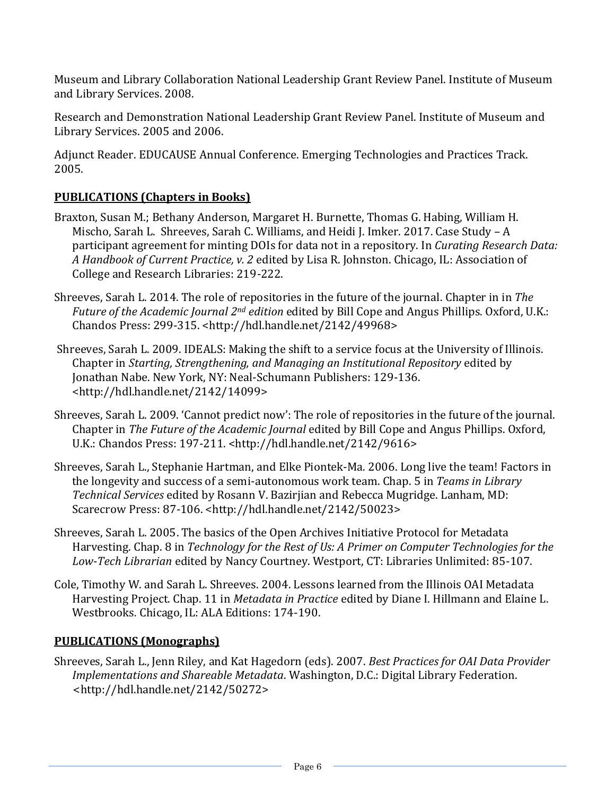Museum and Library Collaboration National Leadership Grant Review Panel. Institute of Museum and Library Services. 2008.

Research and Demonstration National Leadership Grant Review Panel. Institute of Museum and Library Services. 2005 and 2006.

Adjunct Reader. EDUCAUSE Annual Conference. Emerging Technologies and Practices Track. 2005.

## **PUBLICATIONS (Chapters in Books)**

- Braxton, Susan M.; Bethany Anderson, Margaret H. Burnette, Thomas G. Habing, William H. Mischo, Sarah L. Shreeves, Sarah C. Williams, and Heidi J. Imker. 2017. Case Study – A participant agreement for minting DOIs for data not in a repository. In *Curating Research Data: A Handbook of Current Practice, v. 2* edited by Lisa R. Johnston. Chicago, IL: Association of College and Research Libraries: 219-222.
- Shreeves, Sarah L. 2014. The role of repositories in the future of the journal. Chapter in in *The Future of the Academic Journal 2nd edition* edited by Bill Cope and Angus Phillips. Oxford, U.K.: Chandos Press: 299-315. <http://hdl.handle.net/2142/49968>
- Shreeves, Sarah L. 2009. IDEALS: Making the shift to a service focus at the University of Illinois. Chapter in *Starting, Strengthening, and Managing an Institutional Repository* edited by Jonathan Nabe. New York, NY: Neal-Schumann Publishers: 129-136. <http://hdl.handle.net/2142/14099>
- Shreeves, Sarah L. 2009. 'Cannot predict now': The role of repositories in the future of the journal. Chapter in *The Future of the Academic Journal* edited by Bill Cope and Angus Phillips. Oxford, U.K.: Chandos Press: 197-211. <http://hdl.handle.net/2142/9616>
- Shreeves, Sarah L., Stephanie Hartman, and Elke Piontek-Ma. 2006. Long live the team! Factors in the longevity and success of a semi-autonomous work team. Chap. 5 in *Teams in Library Technical Services* edited by Rosann V. Bazirjian and Rebecca Mugridge. Lanham, MD: Scarecrow Press: 87-106. <http://hdl.handle.net/2142/50023>
- Shreeves, Sarah L. 2005. The basics of the Open Archives Initiative Protocol for Metadata Harvesting. Chap. 8 in *Technology for the Rest of Us: A Primer on Computer Technologies for the Low-Tech Librarian* edited by Nancy Courtney. Westport, CT: Libraries Unlimited: 85-107.
- Cole, Timothy W. and Sarah L. Shreeves. 2004. Lessons learned from the Illinois OAI Metadata Harvesting Project. Chap. 11 in *Metadata in Practice* edited by Diane I. Hillmann and Elaine L. Westbrooks*.* Chicago, IL: ALA Editions: 174-190.

### **PUBLICATIONS (Monographs)**

Shreeves, Sarah L., Jenn Riley, and Kat Hagedorn (eds). 2007. *Best Practices for OAI Data Provider Implementations and Shareable Metadata*. Washington, D.C.: Digital Library Federation. <http://hdl.handle.net/2142/50272>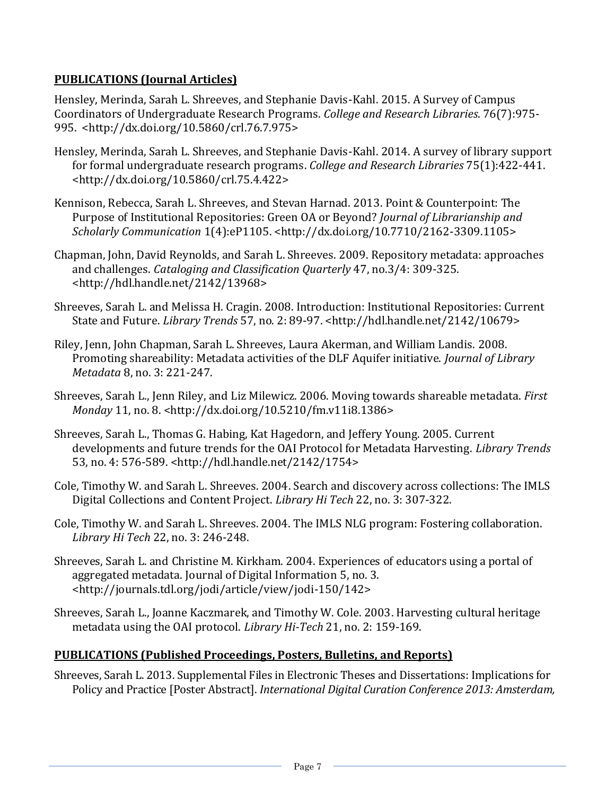### **PUBLICATIONS (Journal Articles)**

Hensley, Merinda, Sarah L. Shreeves, and Stephanie Davis-Kahl. 2015. A Survey of Campus Coordinators of Undergraduate Research Programs. *College and Research Libraries*. 76(7):975- 995. <http://dx.doi.org/10.5860/crl.76.7.975>

- Hensley, Merinda, Sarah L. Shreeves, and Stephanie Davis-Kahl. 2014. A survey of library support for formal undergraduate research programs. *College and Research Libraries* 75(1):422-441. <http://dx.doi.org/10.5860/crl.75.4.422>
- Kennison, Rebecca, Sarah L. Shreeves, and Stevan Harnad. 2013. Point & Counterpoint: The Purpose of Institutional Repositories: Green OA or Beyond? *Journal of Librarianship and Scholarly Communication* 1(4):eP1105. <http://dx.doi.org/10.7710/2162-3309.1105>
- Chapman, John, David Reynolds, and Sarah L. Shreeves. 2009. Repository metadata: approaches and challenges. *Cataloging and Classification Quarterly* 47, no.3/4: 309-325. <http://hdl.handle.net/2142/13968>
- Shreeves, Sarah L. and Melissa H. Cragin. 2008. Introduction: Institutional Repositories: Current State and Future. *Library Trends* 57, no. 2: 89-97. <http://hdl.handle.net/2142/10679>
- Riley, Jenn, John Chapman, Sarah L. Shreeves, Laura Akerman, and William Landis. 2008. Promoting shareability: Metadata activities of the DLF Aquifer initiative. *Journal of Library Metadata* 8, no. 3: 221-247.
- Shreeves, Sarah L., Jenn Riley, and Liz Milewicz. 2006. Moving towards shareable metadata. *First Monday* 11, no. 8. <http://dx.doi.org/10.5210/fm.v11i8.1386>
- Shreeves, Sarah L., Thomas G. Habing, Kat Hagedorn, and Jeffery Young. 2005. Current developments and future trends for the OAI Protocol for Metadata Harvesting. *Library Trends* 53, no. 4: 576-589. <http://hdl.handle.net/2142/1754>
- Cole, Timothy W. and Sarah L. Shreeves. 2004. Search and discovery across collections: The IMLS Digital Collections and Content Project. *Library Hi Tech* 22, no. 3: 307-322.
- Cole, Timothy W. and Sarah L. Shreeves. 2004. The IMLS NLG program: Fostering collaboration. *Library Hi Tech* 22, no. 3: 246-248.
- Shreeves, Sarah L. and Christine M. Kirkham. 2004. Experiences of educators using a portal of aggregated metadata. Journal of Digital Information 5, no. 3. <http://journals.tdl.org/jodi/article/view/jodi-150/142>
- Shreeves, Sarah L., Joanne Kaczmarek, and Timothy W. Cole. 2003. Harvesting cultural heritage metadata using the OAI protocol. *Library Hi-Tech* 21, no. 2: 159-169.

### **PUBLICATIONS (Published Proceedings, Posters, Bulletins, and Reports)**

Shreeves, Sarah L. 2013. Supplemental Files in Electronic Theses and Dissertations: Implications for Policy and Practice [Poster Abstract]. *International Digital Curation Conference 2013: Amsterdam,*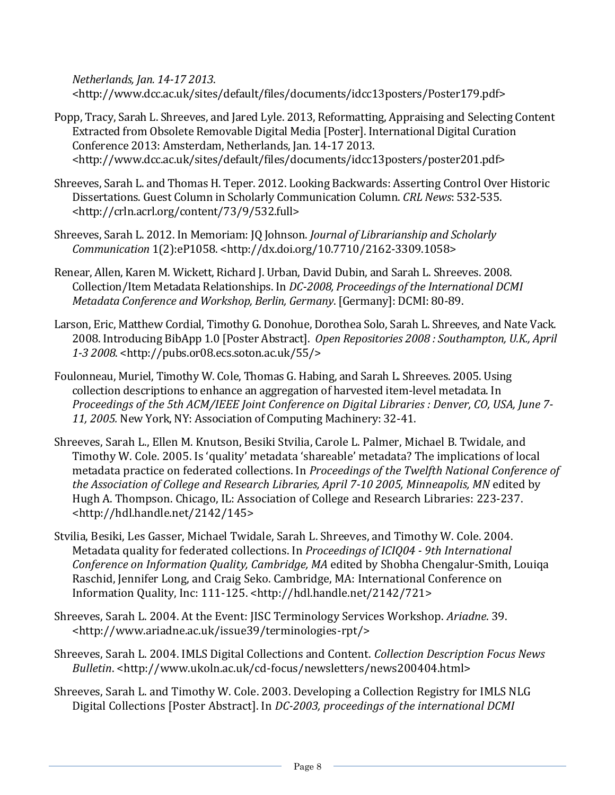*Netherlands, Jan. 14-17 2013*. <http://www.dcc.ac.uk/sites/default/files/documents/idcc13posters/Poster179.pdf>

- Popp, Tracy, Sarah L. Shreeves, and Jared Lyle. 2013, Reformatting, Appraising and Selecting Content Extracted from Obsolete Removable Digital Media [Poster]. International Digital Curation Conference 2013: Amsterdam, Netherlands, Jan. 14-17 2013. <http://www.dcc.ac.uk/sites/default/files/documents/idcc13posters/poster201.pdf>
- Shreeves, Sarah L. and Thomas H. Teper. 2012. Looking Backwards: Asserting Control Over Historic Dissertations. Guest Column in Scholarly Communication Column. *CRL News*: 532-535. <http://crln.acrl.org/content/73/9/532.full>
- Shreeves, Sarah L. 2012. In Memoriam: JQ Johnson. *Journal of Librarianship and Scholarly Communication* 1(2):eP1058. <http://dx.doi.org/10.7710/2162-3309.1058>
- Renear, Allen, Karen M. Wickett, Richard J. Urban, David Dubin, and Sarah L. Shreeves. 2008. Collection/Item Metadata Relationships. In *DC-2008, Proceedings of the International DCMI Metadata Conference and Workshop, Berlin, Germany*. [Germany]: DCMI: 80-89.
- Larson, Eric, Matthew Cordial, Timothy G. Donohue, Dorothea Solo, Sarah L. Shreeves, and Nate Vack. 2008. Introducing BibApp 1.0 [Poster Abstract]. *Open Repositories 2008 : Southampton, U.K., April 1-3 2008*. <http://pubs.or08.ecs.soton.ac.uk/55/>
- Foulonneau, Muriel, Timothy W. Cole, Thomas G. Habing, and Sarah L. Shreeves. 2005. Using collection descriptions to enhance an aggregation of harvested item-level metadata. In *Proceedings of the 5th ACM/IEEE Joint Conference on Digital Libraries : Denver, CO, USA, June 7- 11, 2005.* New York, NY: Association of Computing Machinery: 32-41.
- Shreeves, Sarah L., Ellen M. Knutson, Besiki Stvilia, Carole L. Palmer, Michael B. Twidale, and Timothy W. Cole. 2005. Is 'quality' metadata 'shareable' metadata? The implications of local metadata practice on federated collections. In *Proceedings of the Twelfth National Conference of the Association of College and Research Libraries, April 7-10 2005, Minneapolis, MN* edited by Hugh A. Thompson. Chicago, IL: Association of College and Research Libraries: 223-237. <http://hdl.handle.net/2142/145>
- Stvilia, Besiki, Les Gasser, Michael Twidale, Sarah L. Shreeves, and Timothy W. Cole. 2004. Metadata quality for federated collections. In *Proceedings of ICIQ04 - 9th International Conference on Information Quality, Cambridge, MA* edited by Shobha Chengalur-Smith, Louiqa Raschid, Jennifer Long, and Craig Seko. Cambridge, MA: International Conference on Information Quality, Inc: 111-125. <http://hdl.handle.net/2142/721>
- Shreeves, Sarah L. 2004. At the Event: JISC Terminology Services Workshop. *Ariadne*. 39. <http://www.ariadne.ac.uk/issue39/terminologies-rpt/>
- Shreeves, Sarah L. 2004. IMLS Digital Collections and Content. *Collection Description Focus News Bulletin*. <http://www.ukoln.ac.uk/cd-focus/newsletters/news200404.html>
- Shreeves, Sarah L. and Timothy W. Cole. 2003. Developing a Collection Registry for IMLS NLG Digital Collections [Poster Abstract]. In *DC-2003, proceedings of the international DCMI*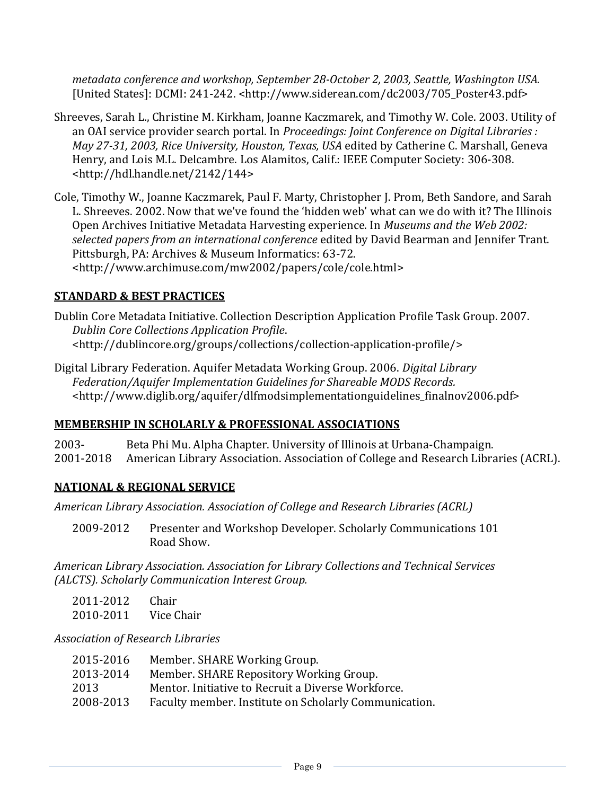*metadata conference and workshop, September 28-October 2, 2003, Seattle, Washington USA.* [United States]: DCMI: 241-242. <http://www.siderean.com/dc2003/705\_Poster43.pdf>

- Shreeves, Sarah L., Christine M. Kirkham, Joanne Kaczmarek, and Timothy W. Cole. 2003. Utility of an OAI service provider search portal. In *Proceedings: Joint Conference on Digital Libraries : May 27-31, 2003, Rice University, Houston, Texas, USA* edited by Catherine C. Marshall, Geneva Henry, and Lois M.L. Delcambre. Los Alamitos, Calif.: IEEE Computer Society: 306-308. <http://hdl.handle.net/2142/144>
- Cole, Timothy W., Joanne Kaczmarek, Paul F. Marty, Christopher J. Prom, Beth Sandore, and Sarah L. Shreeves. 2002. Now that we've found the 'hidden web' what can we do with it? The Illinois Open Archives Initiative Metadata Harvesting experience. In *Museums and the Web 2002: selected papers from an international conference* edited by David Bearman and Jennifer Trant. Pittsburgh, PA: Archives & Museum Informatics: 63-72. <http://www.archimuse.com/mw2002/papers/cole/cole.html>

# **STANDARD & BEST PRACTICES**

Dublin Core Metadata Initiative. Collection Description Application Profile Task Group. 2007. *Dublin Core Collections Application Profile*. <http://dublincore.org/groups/collections/collection-application-profile/>

Digital Library Federation. Aquifer Metadata Working Group. 2006. *Digital Library Federation/Aquifer Implementation Guidelines for Shareable MODS Records.* <http://www.diglib.org/aquifer/dlfmodsimplementationguidelines\_finalnov2006.pdf>

# **MEMBERSHIP IN SCHOLARLY & PROFESSIONAL ASSOCIATIONS**

2003- Beta Phi Mu. Alpha Chapter. University of Illinois at Urbana-Champaign. 2001-2018 American Library Association. Association of College and Research Libraries (ACRL).

# **NATIONAL & REGIONAL SERVICE**

*American Library Association. Association of College and Research Libraries (ACRL)*

2009-2012 Presenter and Workshop Developer. Scholarly Communications 101 Road Show.

*American Library Association. Association for Library Collections and Technical Services (ALCTS). Scholarly Communication Interest Group.*

| 2011-2012 | Chair      |
|-----------|------------|
| 2010-2011 | Vice Chair |

*Association of Research Libraries*

| 2015-2016 | Member. SHARE Working Group.                          |
|-----------|-------------------------------------------------------|
| 2013-2014 | Member. SHARE Repository Working Group.               |
| 2013      | Mentor. Initiative to Recruit a Diverse Workforce.    |
| 2008-2013 | Faculty member. Institute on Scholarly Communication. |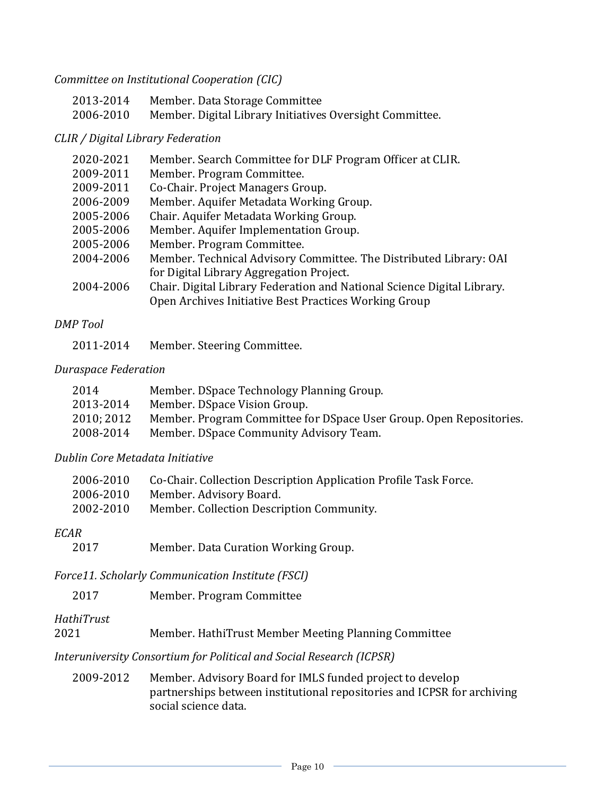*Committee on Institutional Cooperation (CIC)*

| 2013-2014 | Member. Data Storage Committee                           |
|-----------|----------------------------------------------------------|
| 2006-2010 | Member. Digital Library Initiatives Oversight Committee. |

#### *CLIR / Digital Library Federation*

| 2020-2021 | Member. Search Committee for DLF Program Officer at CLIR.               |
|-----------|-------------------------------------------------------------------------|
| 2009-2011 | Member. Program Committee.                                              |
| 2009-2011 | Co-Chair. Project Managers Group.                                       |
| 2006-2009 | Member. Aquifer Metadata Working Group.                                 |
| 2005-2006 | Chair. Aquifer Metadata Working Group.                                  |
| 2005-2006 | Member. Aquifer Implementation Group.                                   |
| 2005-2006 | Member. Program Committee.                                              |
| 2004-2006 | Member. Technical Advisory Committee. The Distributed Library: OAI      |
|           | for Digital Library Aggregation Project.                                |
| 2004-2006 | Chair. Digital Library Federation and National Science Digital Library. |
|           | Open Archives Initiative Best Practices Working Group                   |
|           |                                                                         |

#### *DMP Tool*

2011-2014 Member. Steering Committee.

#### *Duraspace Federation*

| 2014       | Member. DSpace Technology Planning Group.                           |
|------------|---------------------------------------------------------------------|
| 2013-2014  | Member. DSpace Vision Group.                                        |
| 2010; 2012 | Member. Program Committee for DSpace User Group. Open Repositories. |
| 2008-2014  | Member. DSpace Community Advisory Team.                             |

#### *Dublin Core Metadata Initiative*

| 2006-2010 | Co-Chair. Collection Description Application Profile Task Force. |
|-----------|------------------------------------------------------------------|
| 2006-2010 | Member. Advisory Board.                                          |
| 2002-2010 | Member. Collection Description Community.                        |

#### *ECAR*

2017 Member. Data Curation Working Group.

*Force11. Scholarly Communication Institute (FSCI)*

# *HathiTrust*

| 2021 |  |  |  |  |  | Member. HathiTrust Member Meeting Planning Committee |
|------|--|--|--|--|--|------------------------------------------------------|
|------|--|--|--|--|--|------------------------------------------------------|

# *Interuniversity Consortium for Political and Social Research (ICPSR)*

2009-2012 Member. Advisory Board for IMLS funded project to develop partnerships between institutional repositories and ICPSR for archiving social science data.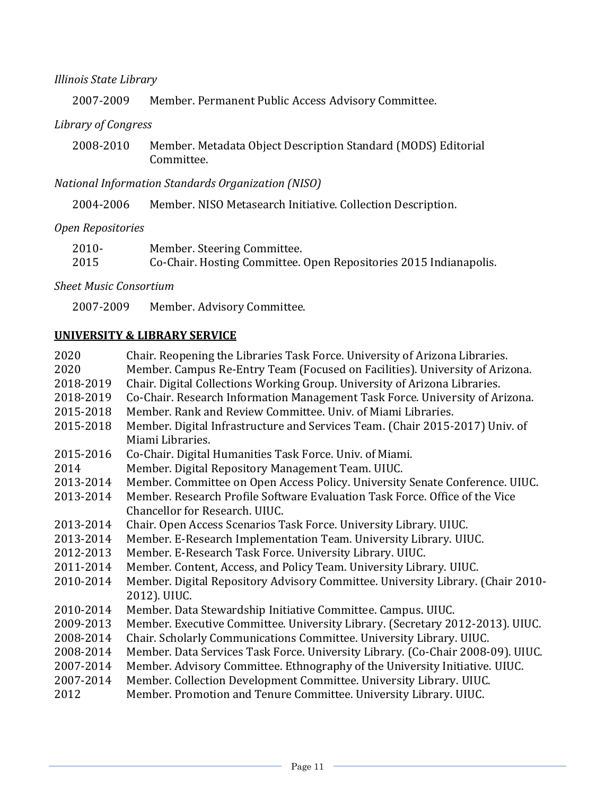### *Illinois State Library*

2007-2009 Member. Permanent Public Access Advisory Committee.

#### *Library of Congress*

2008-2010 Member. Metadata Object Description Standard (MODS) Editorial Committee.

### *National Information Standards Organization (NISO)*

2004-2006 Member. NISO Metasearch Initiative. Collection Description.

### *Open Repositories*

| $2010 -$ | Member. Steering Committee.                                       |
|----------|-------------------------------------------------------------------|
| 2015     | Co-Chair. Hosting Committee. Open Repositories 2015 Indianapolis. |

*Sheet Music Consortium*

2007-2009 Member. Advisory Committee.

#### **UNIVERSITY & LIBRARY SERVICE**

| 2020      | Chair. Reopening the Libraries Task Force. University of Arizona Libraries.     |
|-----------|---------------------------------------------------------------------------------|
| 2020      | Member. Campus Re-Entry Team (Focused on Facilities). University of Arizona.    |
| 2018-2019 | Chair. Digital Collections Working Group. University of Arizona Libraries.      |
| 2018-2019 | Co-Chair. Research Information Management Task Force. University of Arizona.    |
| 2015-2018 | Member, Rank and Review Committee, Univ. of Miami Libraries.                    |
| 2015-2018 | Member. Digital Infrastructure and Services Team. (Chair 2015-2017) Univ. of    |
|           | Miami Libraries.                                                                |
| 2015-2016 | Co-Chair. Digital Humanities Task Force. Univ. of Miami.                        |
| 2014      | Member. Digital Repository Management Team. UIUC.                               |
| 2013-2014 | Member. Committee on Open Access Policy. University Senate Conference. UIUC.    |
| 2013-2014 | Member. Research Profile Software Evaluation Task Force. Office of the Vice     |
|           | Chancellor for Research, UIUC.                                                  |
| 2013-2014 | Chair. Open Access Scenarios Task Force. University Library. UIUC.              |
| 2013-2014 | Member. E-Research Implementation Team. University Library. UIUC.               |
| 2012-2013 | Member. E-Research Task Force. University Library. UIUC.                        |
| 2011-2014 | Member. Content, Access, and Policy Team. University Library. UIUC.             |
| 2010-2014 | Member. Digital Repository Advisory Committee. University Library. (Chair 2010- |
|           | 2012). UIUC.                                                                    |
| 2010-2014 | Member. Data Stewardship Initiative Committee. Campus. UIUC.                    |
| 2009-2013 | Member. Executive Committee. University Library. (Secretary 2012-2013). UIUC.   |
| 2008-2014 | Chair. Scholarly Communications Committee. University Library. UIUC.            |
| 2008-2014 | Member. Data Services Task Force. University Library. (Co-Chair 2008-09). UIUC. |
| 2007-2014 | Member. Advisory Committee. Ethnography of the University Initiative. UIUC.     |
| 2007-2014 | Member. Collection Development Committee. University Library. UIUC.             |
| 2012      | Member. Promotion and Tenure Committee. University Library. UIUC.               |
|           |                                                                                 |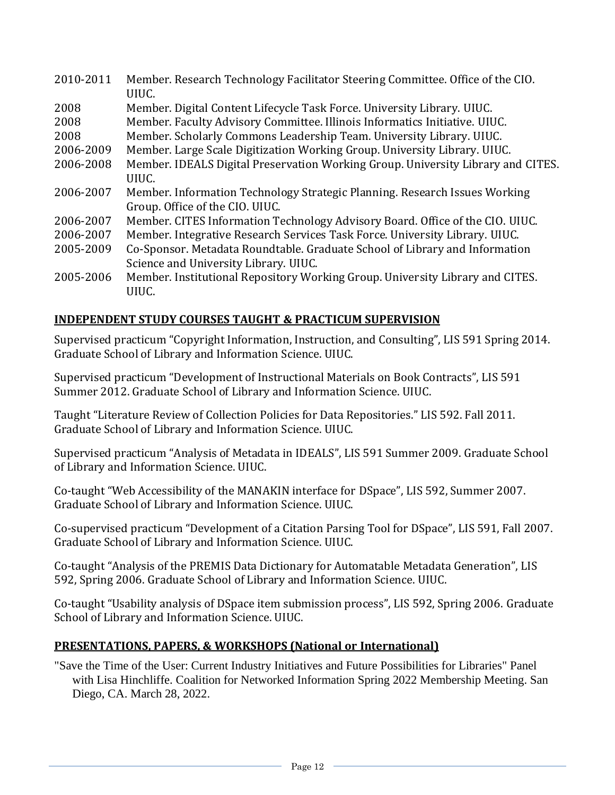| 2010-2011 | Member. Research Technology Facilitator Steering Committee. Office of the CIO.<br>UIUC. |
|-----------|-----------------------------------------------------------------------------------------|
| 2008      | Member. Digital Content Lifecycle Task Force. University Library. UIUC.                 |
| 2008      | Member. Faculty Advisory Committee. Illinois Informatics Initiative. UIUC.              |
| 2008      | Member. Scholarly Commons Leadership Team. University Library. UIUC.                    |
| 2006-2009 | Member. Large Scale Digitization Working Group. University Library. UIUC.               |
| 2006-2008 | Member. IDEALS Digital Preservation Working Group. University Library and CITES.        |
|           | UIUC.                                                                                   |
| 2006-2007 | Member. Information Technology Strategic Planning. Research Issues Working              |
|           | Group. Office of the CIO. UIUC.                                                         |
| 2006-2007 | Member. CITES Information Technology Advisory Board. Office of the CIO. UIUC.           |
| 2006-2007 | Member. Integrative Research Services Task Force. University Library. UIUC.             |
| 2005-2009 | Co-Sponsor. Metadata Roundtable. Graduate School of Library and Information             |
|           | Science and University Library. UIUC.                                                   |
| 2005-2006 | Member. Institutional Repository Working Group. University Library and CITES.           |
|           | UIUC.                                                                                   |

### **INDEPENDENT STUDY COURSES TAUGHT & PRACTICUM SUPERVISION**

Supervised practicum "Copyright Information, Instruction, and Consulting", LIS 591 Spring 2014. Graduate School of Library and Information Science. UIUC.

Supervised practicum "Development of Instructional Materials on Book Contracts", LIS 591 Summer 2012. Graduate School of Library and Information Science. UIUC.

Taught "Literature Review of Collection Policies for Data Repositories." LIS 592. Fall 2011. Graduate School of Library and Information Science. UIUC.

Supervised practicum "Analysis of Metadata in IDEALS", LIS 591 Summer 2009. Graduate School of Library and Information Science. UIUC.

Co-taught "Web Accessibility of the MANAKIN interface for DSpace", LIS 592, Summer 2007. Graduate School of Library and Information Science. UIUC.

Co-supervised practicum "Development of a Citation Parsing Tool for DSpace", LIS 591, Fall 2007. Graduate School of Library and Information Science. UIUC.

Co-taught "Analysis of the PREMIS Data Dictionary for Automatable Metadata Generation", LIS 592, Spring 2006. Graduate School of Library and Information Science. UIUC.

Co-taught "Usability analysis of DSpace item submission process", LIS 592, Spring 2006. Graduate School of Library and Information Science. UIUC.

#### **PRESENTATIONS, PAPERS, & WORKSHOPS (National or International)**

"Save the Time of the User: Current Industry Initiatives and Future Possibilities for Libraries" Panel with Lisa Hinchliffe. Coalition for Networked Information Spring 2022 Membership Meeting. San Diego, CA. March 28, 2022.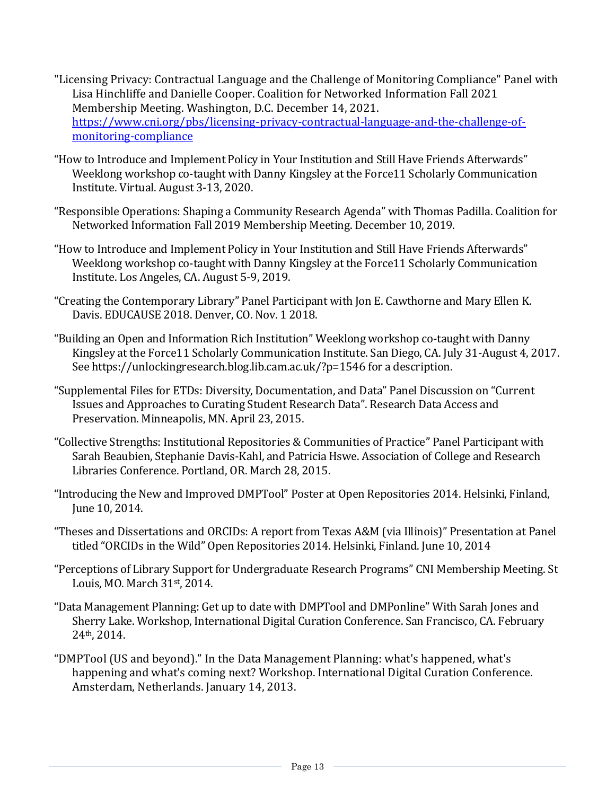- "Licensing Privacy: Contractual Language and the Challenge of Monitoring Compliance" Panel with Lisa Hinchliffe and Danielle Cooper. Coalition for Networked Information Fall 2021 Membership Meeting. Washington, D.C. December 14, 2021. [https://www.cni.org/pbs/licensing-privacy-contractual-language-and-the-challenge-of](https://www.cni.org/pbs/licensing-privacy-contractual-language-and-the-challenge-of-monitoring-compliance)[monitoring-compliance](https://www.cni.org/pbs/licensing-privacy-contractual-language-and-the-challenge-of-monitoring-compliance)
- "How to Introduce and Implement Policy in Your Institution and Still Have Friends Afterwards" Weeklong workshop co-taught with Danny Kingsley at the Force11 Scholarly Communication Institute. Virtual. August 3-13, 2020.
- "Responsible Operations: Shaping a Community Research Agenda" with Thomas Padilla. Coalition for Networked Information Fall 2019 Membership Meeting. December 10, 2019.
- "How to Introduce and Implement Policy in Your Institution and Still Have Friends Afterwards" Weeklong workshop co-taught with Danny Kingsley at the Force11 Scholarly Communication Institute. Los Angeles, CA. August 5-9, 2019.
- "Creating the Contemporary Library" Panel Participant with Jon E. Cawthorne and Mary Ellen K. Davis. EDUCAUSE 2018. Denver, CO. Nov. 1 2018.
- "Building an Open and Information Rich Institution" Weeklong workshop co-taught with Danny Kingsley at the Force11 Scholarly Communication Institute. San Diego, CA. July 31-August 4, 2017. See https://unlockingresearch.blog.lib.cam.ac.uk/?p=1546 for a description.
- "Supplemental Files for ETDs: Diversity, Documentation, and Data" Panel Discussion on "Current Issues and Approaches to Curating Student Research Data". Research Data Access and Preservation. Minneapolis, MN. April 23, 2015.
- "Collective Strengths: Institutional Repositories & Communities of Practice" Panel Participant with Sarah Beaubien, Stephanie Davis-Kahl, and Patricia Hswe. Association of College and Research Libraries Conference. Portland, OR. March 28, 2015.
- "Introducing the New and Improved DMPTool" Poster at Open Repositories 2014. Helsinki, Finland, June 10, 2014.
- "Theses and Dissertations and ORCIDs: A report from Texas A&M (via Illinois)" Presentation at Panel titled "ORCIDs in the Wild" Open Repositories 2014. Helsinki, Finland. June 10, 2014
- "Perceptions of Library Support for Undergraduate Research Programs" CNI Membership Meeting. St Louis, MO. March 31st, 2014.
- "Data Management Planning: Get up to date with DMPTool and DMPonline" With Sarah Jones and Sherry Lake. Workshop, International Digital Curation Conference. San Francisco, CA. February 24th, 2014.
- "DMPTool (US and beyond)." In the Data Management Planning: what's happened, what's happening and what's coming next? Workshop. International Digital Curation Conference. Amsterdam, Netherlands. January 14, 2013.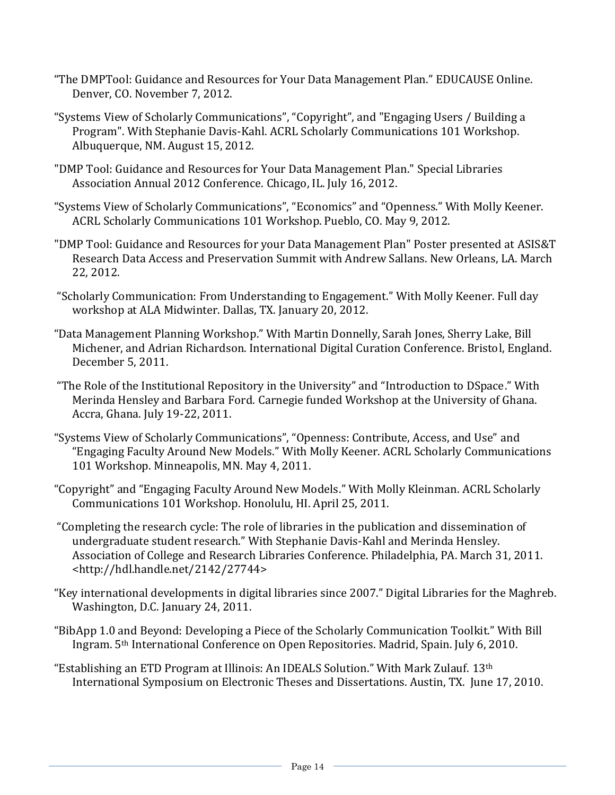- "The DMPTool: Guidance and Resources for Your Data Management Plan." EDUCAUSE Online. Denver, CO. November 7, 2012.
- "Systems View of Scholarly Communications", "Copyright", and "Engaging Users / Building a Program". With Stephanie Davis-Kahl. ACRL Scholarly Communications 101 Workshop. Albuquerque, NM. August 15, 2012.
- "DMP Tool: Guidance and Resources for Your Data Management Plan." Special Libraries Association Annual 2012 Conference. Chicago, IL. July 16, 2012.
- "Systems View of Scholarly Communications", "Economics" and "Openness." With Molly Keener. ACRL Scholarly Communications 101 Workshop. Pueblo, CO. May 9, 2012.
- "DMP Tool: Guidance and Resources for your Data Management Plan" Poster presented at ASIS&T Research Data Access and Preservation Summit with Andrew Sallans. New Orleans, LA. March 22, 2012.
- "Scholarly Communication: From Understanding to Engagement." With Molly Keener. Full day workshop at ALA Midwinter. Dallas, TX. January 20, 2012.
- "Data Management Planning Workshop." With Martin Donnelly, Sarah Jones, Sherry Lake, Bill Michener, and Adrian Richardson. International Digital Curation Conference. Bristol, England. December 5, 2011.
- "The Role of the Institutional Repository in the University" and "Introduction to DSpace." With Merinda Hensley and Barbara Ford. Carnegie funded Workshop at the University of Ghana. Accra, Ghana. July 19-22, 2011.
- "Systems View of Scholarly Communications", "Openness: Contribute, Access, and Use" and "Engaging Faculty Around New Models." With Molly Keener. ACRL Scholarly Communications 101 Workshop. Minneapolis, MN. May 4, 2011.
- "Copyright" and "Engaging Faculty Around New Models." With Molly Kleinman. ACRL Scholarly Communications 101 Workshop. Honolulu, HI. April 25, 2011.
- "Completing the research cycle: The role of libraries in the publication and dissemination of undergraduate student research." With Stephanie Davis-Kahl and Merinda Hensley. Association of College and Research Libraries Conference. Philadelphia, PA. March 31, 2011. <http://hdl.handle.net/2142/27744>
- "Key international developments in digital libraries since 2007." Digital Libraries for the Maghreb. Washington, D.C. January 24, 2011.
- "BibApp 1.0 and Beyond: Developing a Piece of the Scholarly Communication Toolkit." With Bill Ingram. 5th International Conference on Open Repositories. Madrid, Spain. July 6, 2010.
- "Establishing an ETD Program at Illinois: An IDEALS Solution." With Mark Zulauf. 13th International Symposium on Electronic Theses and Dissertations. Austin, TX. June 17, 2010.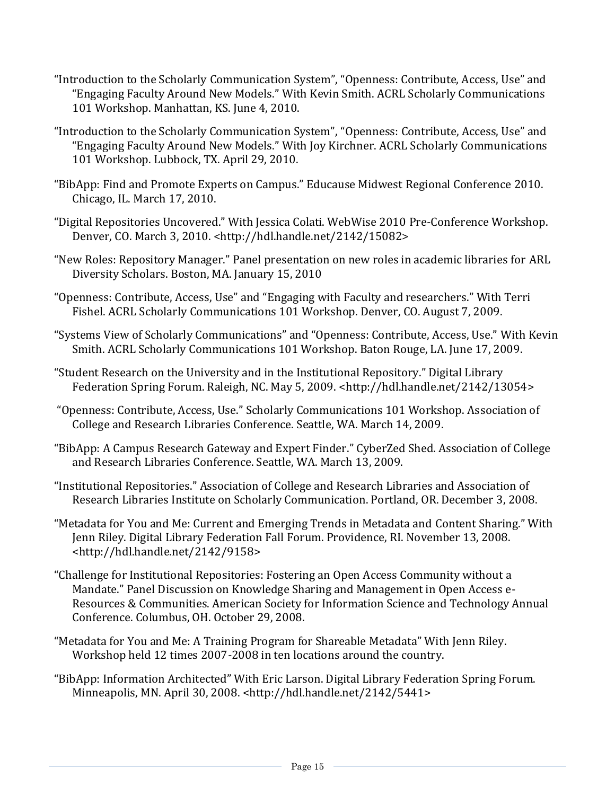- "Introduction to the Scholarly Communication System", "Openness: Contribute, Access, Use" and "Engaging Faculty Around New Models." With Kevin Smith. ACRL Scholarly Communications 101 Workshop. Manhattan, KS. June 4, 2010.
- "Introduction to the Scholarly Communication System", "Openness: Contribute, Access, Use" and "Engaging Faculty Around New Models." With Joy Kirchner. ACRL Scholarly Communications 101 Workshop. Lubbock, TX. April 29, 2010.
- "BibApp: Find and Promote Experts on Campus." Educause Midwest Regional Conference 2010. Chicago, IL. March 17, 2010.
- "Digital Repositories Uncovered." With Jessica Colati. WebWise 2010 Pre-Conference Workshop. Denver, CO. March 3, 2010. <http://hdl.handle.net/2142/15082>
- "New Roles: Repository Manager." Panel presentation on new roles in academic libraries for ARL Diversity Scholars. Boston, MA. January 15, 2010
- "Openness: Contribute, Access, Use" and "Engaging with Faculty and researchers." With Terri Fishel. ACRL Scholarly Communications 101 Workshop. Denver, CO. August 7, 2009.
- "Systems View of Scholarly Communications" and "Openness: Contribute, Access, Use." With Kevin Smith. ACRL Scholarly Communications 101 Workshop. Baton Rouge, LA. June 17, 2009.
- "Student Research on the University and in the Institutional Repository." Digital Library Federation Spring Forum. Raleigh, NC. May 5, 2009. <http://hdl.handle.net/2142/13054>
- "Openness: Contribute, Access, Use." Scholarly Communications 101 Workshop. Association of College and Research Libraries Conference. Seattle, WA. March 14, 2009.
- "BibApp: A Campus Research Gateway and Expert Finder." CyberZed Shed. Association of College and Research Libraries Conference. Seattle, WA. March 13, 2009.
- "Institutional Repositories." Association of College and Research Libraries and Association of Research Libraries Institute on Scholarly Communication. Portland, OR. December 3, 2008.
- "Metadata for You and Me: Current and Emerging Trends in Metadata and Content Sharing." With Jenn Riley. Digital Library Federation Fall Forum. Providence, RI. November 13, 2008. <http://hdl.handle.net/2142/9158>
- "Challenge for Institutional Repositories: Fostering an Open Access Community without a Mandate." Panel Discussion on Knowledge Sharing and Management in Open Access e-Resources & Communities. American Society for Information Science and Technology Annual Conference. Columbus, OH. October 29, 2008.
- "Metadata for You and Me: A Training Program for Shareable Metadata" With Jenn Riley. Workshop held 12 times 2007-2008 in ten locations around the country.
- "BibApp: Information Architected" With Eric Larson. Digital Library Federation Spring Forum. Minneapolis, MN. April 30, 2008. <http://hdl.handle.net/2142/5441>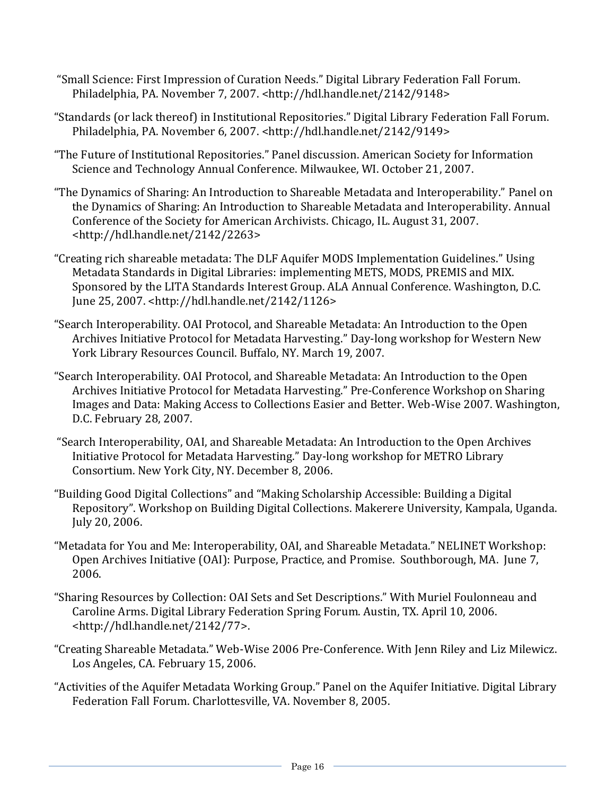- "Small Science: First Impression of Curation Needs." Digital Library Federation Fall Forum. Philadelphia, PA. November 7, 2007. <http://hdl.handle.net/2142/9148>
- "Standards (or lack thereof) in Institutional Repositories." Digital Library Federation Fall Forum. Philadelphia, PA. November 6, 2007. <http://hdl.handle.net/2142/9149>
- "The Future of Institutional Repositories." Panel discussion. American Society for Information Science and Technology Annual Conference. Milwaukee, WI. October 21, 2007.
- "The Dynamics of Sharing: An Introduction to Shareable Metadata and Interoperability." Panel on the Dynamics of Sharing: An Introduction to Shareable Metadata and Interoperability. Annual Conference of the Society for American Archivists. Chicago, IL. August 31, 2007. <http://hdl.handle.net/2142/2263>
- "Creating rich shareable metadata: The DLF Aquifer MODS Implementation Guidelines." Using Metadata Standards in Digital Libraries: implementing METS, MODS, PREMIS and MIX. Sponsored by the LITA Standards Interest Group. ALA Annual Conference. Washington, D.C. June 25, 2007. <http://hdl.handle.net/2142/1126>
- "Search Interoperability. OAI Protocol, and Shareable Metadata: An Introduction to the Open Archives Initiative Protocol for Metadata Harvesting." Day-long workshop for Western New York Library Resources Council. Buffalo, NY. March 19, 2007.
- "Search Interoperability. OAI Protocol, and Shareable Metadata: An Introduction to the Open Archives Initiative Protocol for Metadata Harvesting." Pre-Conference Workshop on Sharing Images and Data: Making Access to Collections Easier and Better. Web-Wise 2007. Washington, D.C. February 28, 2007.
- "Search Interoperability, OAI, and Shareable Metadata: An Introduction to the Open Archives Initiative Protocol for Metadata Harvesting." Day-long workshop for METRO Library Consortium. New York City, NY. December 8, 2006.
- "Building Good Digital Collections" and "Making Scholarship Accessible: Building a Digital Repository". Workshop on Building Digital Collections. Makerere University, Kampala, Uganda. July 20, 2006.
- "Metadata for You and Me: Interoperability, OAI, and Shareable Metadata." NELINET Workshop: Open Archives Initiative (OAI): Purpose, Practice, and Promise. Southborough, MA. June 7, 2006.
- "Sharing Resources by Collection: OAI Sets and Set Descriptions." With Muriel Foulonneau and Caroline Arms. Digital Library Federation Spring Forum. Austin, TX. April 10, 2006. <http://hdl.handle.net/2142/77>.
- "Creating Shareable Metadata." Web-Wise 2006 Pre-Conference. With Jenn Riley and Liz Milewicz. Los Angeles, CA. February 15, 2006.
- "Activities of the Aquifer Metadata Working Group." Panel on the Aquifer Initiative. Digital Library Federation Fall Forum. Charlottesville, VA. November 8, 2005.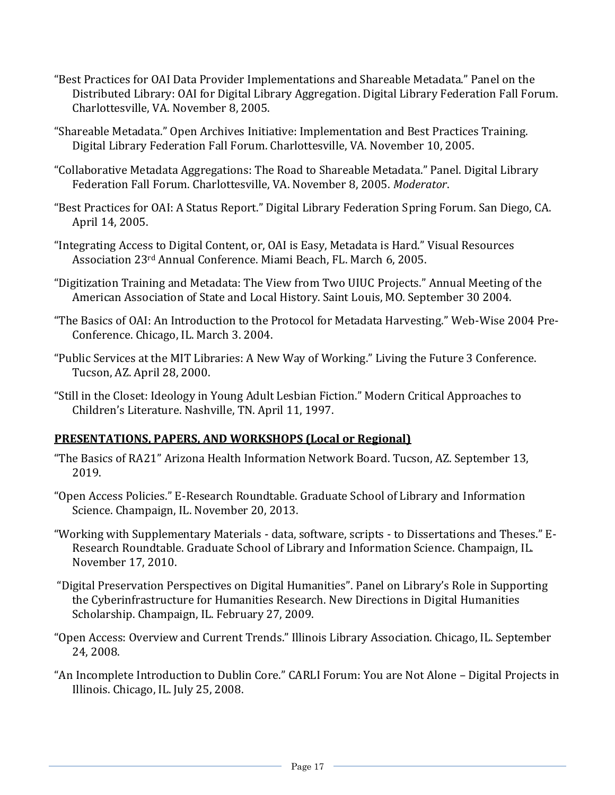- "Best Practices for OAI Data Provider Implementations and Shareable Metadata." Panel on the Distributed Library: OAI for Digital Library Aggregation. Digital Library Federation Fall Forum. Charlottesville, VA. November 8, 2005.
- "Shareable Metadata." Open Archives Initiative: Implementation and Best Practices Training. Digital Library Federation Fall Forum. Charlottesville, VA. November 10, 2005.
- "Collaborative Metadata Aggregations: The Road to Shareable Metadata." Panel. Digital Library Federation Fall Forum. Charlottesville, VA. November 8, 2005. *Moderator*.
- "Best Practices for OAI: A Status Report." Digital Library Federation Spring Forum. San Diego, CA. April 14, 2005.
- "Integrating Access to Digital Content, or, OAI is Easy, Metadata is Hard." Visual Resources Association 23rd Annual Conference. Miami Beach, FL. March 6, 2005.
- "Digitization Training and Metadata: The View from Two UIUC Projects." Annual Meeting of the American Association of State and Local History. Saint Louis, MO. September 30 2004.
- "The Basics of OAI: An Introduction to the Protocol for Metadata Harvesting." Web-Wise 2004 Pre-Conference. Chicago, IL. March 3. 2004.
- "Public Services at the MIT Libraries: A New Way of Working." Living the Future 3 Conference. Tucson, AZ. April 28, 2000.
- "Still in the Closet: Ideology in Young Adult Lesbian Fiction." Modern Critical Approaches to Children's Literature. Nashville, TN. April 11, 1997.

### **PRESENTATIONS, PAPERS, AND WORKSHOPS (Local or Regional)**

- "The Basics of RA21" Arizona Health Information Network Board. Tucson, AZ. September 13, 2019.
- "Open Access Policies." E-Research Roundtable. Graduate School of Library and Information Science. Champaign, IL. November 20, 2013.
- "Working with Supplementary Materials data, software, scripts to Dissertations and Theses." E-Research Roundtable. Graduate School of Library and Information Science. Champaign, IL. November 17, 2010.
- "Digital Preservation Perspectives on Digital Humanities". Panel on Library's Role in Supporting the Cyberinfrastructure for Humanities Research. New Directions in Digital Humanities Scholarship. Champaign, IL. February 27, 2009.
- "Open Access: Overview and Current Trends." Illinois Library Association. Chicago, IL. September 24, 2008.
- "An Incomplete Introduction to Dublin Core." CARLI Forum: You are Not Alone Digital Projects in Illinois. Chicago, IL. July 25, 2008.